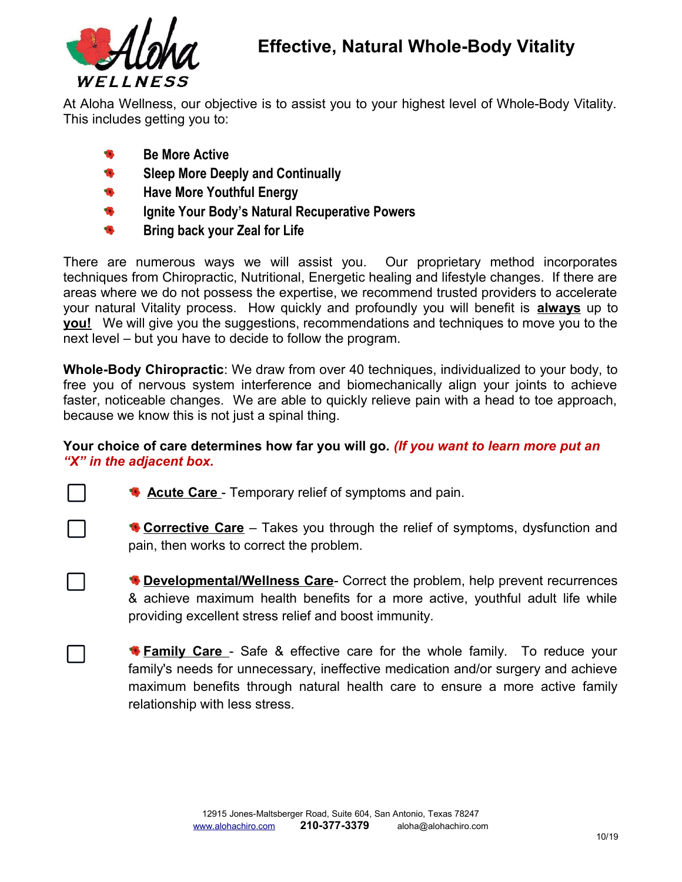

At Aloha Wellness, our objective is to assist you to your highest level of Whole-Body Vitality. This includes getting you to:

- $\bullet$ **Be More Active**
- ₩ **Sleep More Deeply and Continually**
- $\bullet$ **Have More Youthful Energy**
- ₩ **Ignite Your Body's Natural Recuperative Powers**
- **Bring back your Zeal for Life**

There are numerous ways we will assist you. Our proprietary method incorporates techniques from Chiropractic, Nutritional, Energetic healing and lifestyle changes. If there are areas where we do not possess the expertise, we recommend trusted providers to accelerate your natural Vitality process. How quickly and profoundly you will benefit is **always** up to **you!** We will give you the suggestions, recommendations and techniques to move you to the next level – but you have to decide to follow the program.

**Whole-Body Chiropractic**: We draw from over 40 techniques, individualized to your body, to free you of nervous system interference and biomechanically align your joints to achieve faster, noticeable changes. We are able to quickly relieve pain with a head to toe approach, because we know this is not just a spinal thing.

## **Your choice of care determines how far you will go.** *(If you want to learn more put an "X" in the adjacent box.*



**Acute Care** - Temporary relief of symptoms and pain.

**Corrective Care** – Takes you through the relief of symptoms, dysfunction and pain, then works to correct the problem.

**Developmental/Wellness Care**- Correct the problem, help prevent recurrences & achieve maximum health benefits for a more active, youthful adult life while providing excellent stress relief and boost immunity.

**Family Care** - Safe & effective care for the whole family. To reduce your family's needs for unnecessary, ineffective medication and/or surgery and achieve maximum benefits through natural health care to ensure a more active family relationship with less stress.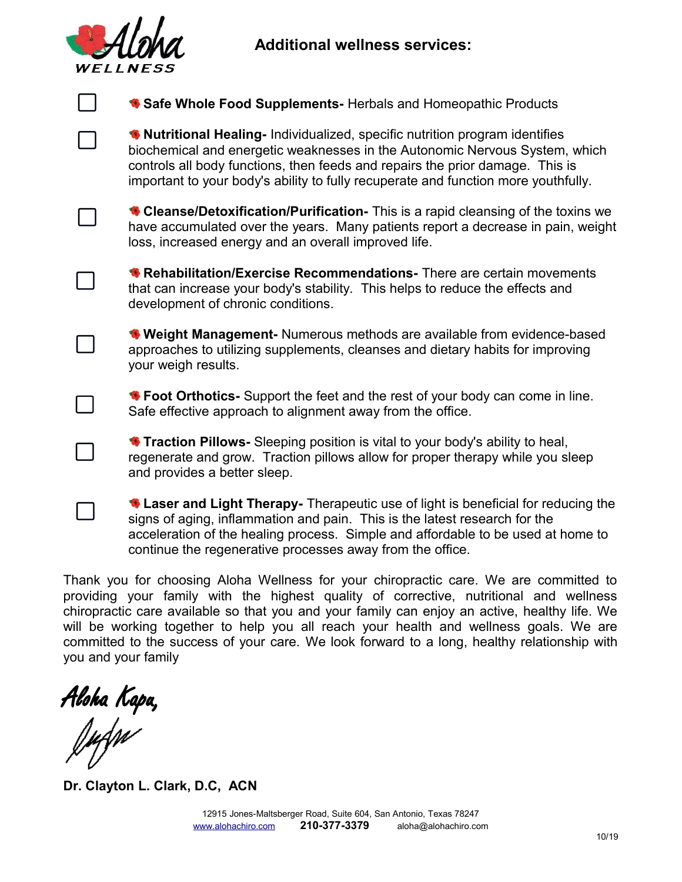## **Additional wellness services:**



| Safe Whole Food Supplements- Herbals and Homeopathic Products                                                                                                                                                                                                                                                                     |
|-----------------------------------------------------------------------------------------------------------------------------------------------------------------------------------------------------------------------------------------------------------------------------------------------------------------------------------|
| * Nutritional Healing-Individualized, specific nutrition program identifies<br>biochemical and energetic weaknesses in the Autonomic Nervous System, which<br>controls all body functions, then feeds and repairs the prior damage. This is<br>important to your body's ability to fully recuperate and function more youthfully. |
| Cleanse/Detoxification/Purification-This is a rapid cleansing of the toxins we<br>have accumulated over the years. Many patients report a decrease in pain, weight<br>loss, increased energy and an overall improved life.                                                                                                        |
| <b>*</b> Rehabilitation/Exercise Recommendations- There are certain movements<br>that can increase your body's stability. This helps to reduce the effects and<br>development of chronic conditions.                                                                                                                              |
| <b>◆ Weight Management-</b> Numerous methods are available from evidence-based<br>approaches to utilizing supplements, cleanses and dietary habits for improving<br>your weigh results.                                                                                                                                           |
| * Foot Orthotics- Support the feet and the rest of your body can come in line.<br>Safe effective approach to alignment away from the office.                                                                                                                                                                                      |
| <b>Traction Pillows-</b> Sleeping position is vital to your body's ability to heal,<br>regenerate and grow. Traction pillows allow for proper therapy while you sleep<br>and provides a better sleep.                                                                                                                             |
| Laser and Light Therapy- Therapeutic use of light is beneficial for reducing the<br>signs of aging, inflammation and pain. This is the latest research for the<br>acceleration of the healing process. Simple and affordable to be used at home to<br>continue the regenerative processes away from the office.                   |

Thank you for choosing Aloha Wellness for your chiropractic care. We are committed to providing your family with the highest quality of corrective, nutritional and wellness chiropractic care available so that you and your family can enjoy an active, healthy life. We will be working together to help you all reach your health and wellness goals. We are committed to the success of your care. We look forward to a long, healthy relationship with you and your family

Aloha Kapa,<br>J*u*dw

**Dr. Clayton L. Clark, D.C, ACN**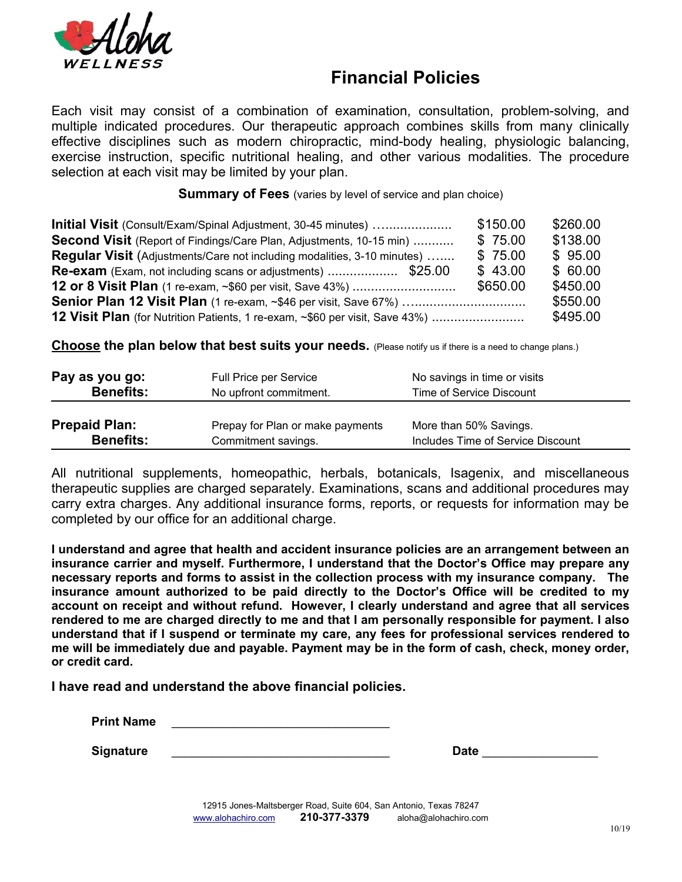

## **Financial Policies**

Each visit may consist of a combination of examination, consultation, problem-solving, and multiple indicated procedures. Our therapeutic approach combines skills from many clinically effective disciplines such as modern chiropractic, mind-body healing, physiologic balancing, exercise instruction, specific nutritional healing, and other various modalities. The procedure selection at each visit may be limited by your plan.

**Summary of Fees** (varies by level of service and plan choice)

| Initial Visit (Consult/Exam/Spinal Adjustment, 30-45 minutes)                | \$150.00 | \$260.00 |
|------------------------------------------------------------------------------|----------|----------|
| <b>Second Visit</b> (Report of Findings/Care Plan, Adjustments, 10-15 min)   | \$75.00  | \$138.00 |
| Regular Visit (Adjustments/Care not including modalities, 3-10 minutes)      | \$75.00  | \$95.00  |
|                                                                              | \$43.00  | \$60.00  |
|                                                                              | \$650.00 | \$450.00 |
| Senior Plan 12 Visit Plan (1 re-exam, ~\$46 per visit, Save 67%)             |          |          |
| 12 Visit Plan (for Nutrition Patients, 1 re-exam, ~\$60 per visit, Save 43%) |          | \$495.00 |

**Choose the plan below that best suits your needs.** (Please notify us if there is a need to change plans.)

| Pay as you go:       | Full Price per Service           | No savings in time or visits      |
|----------------------|----------------------------------|-----------------------------------|
| <b>Benefits:</b>     | No upfront commitment.           | Time of Service Discount          |
| <b>Prepaid Plan:</b> | Prepay for Plan or make payments | More than 50% Savings.            |
| <b>Benefits:</b>     | Commitment savings.              | Includes Time of Service Discount |

All nutritional supplements, homeopathic, herbals, botanicals, Isagenix, and miscellaneous therapeutic supplies are charged separately. Examinations, scans and additional procedures may carry extra charges. Any additional insurance forms, reports, or requests for information may be completed by our office for an additional charge.

**I understand and agree that health and accident insurance policies are an arrangement between an insurance carrier and myself. Furthermore, I understand that the Doctor's Office may prepare any necessary reports and forms to assist in the collection process with my insurance company. The insurance amount authorized to be paid directly to the Doctor's Office will be credited to my account on receipt and without refund. However, I clearly understand and agree that all services rendered to me are charged directly to me and that I am personally responsible for payment. I also understand that if I suspend or terminate my care, any fees for professional services rendered to me will be immediately due and payable. Payment may be in the form of cash, check, money order, or credit card.**

**I have read and understand the above financial policies.**

**Print Name** 

**Signature 2016** 2017 2018 2020 2021 2021 2022 2021 2022 2021 2022 2021 2022 2022 2021 2022 2022 2022 2021 2022 20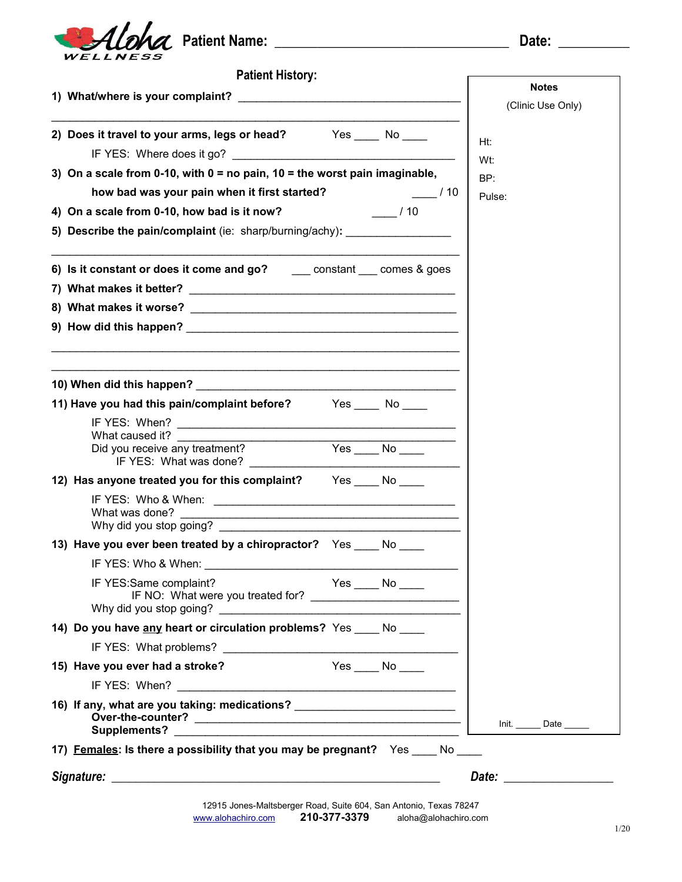

| <b>Patient History:</b>                                                                                          |                            |  |
|------------------------------------------------------------------------------------------------------------------|----------------------------|--|
|                                                                                                                  | <b>Notes</b>               |  |
|                                                                                                                  | (Clinic Use Only)          |  |
| 2) Does it travel to your arms, legs or head? Yes ____ No ___                                                    | Ht:<br>Wt:                 |  |
| 3) On a scale from 0-10, with $0 =$ no pain, 10 = the worst pain imaginable,                                     | BP:                        |  |
| how bad was your pain when it first started?<br>$\frac{1}{10}$                                                   | Pulse:                     |  |
| 4) On a scale from 0-10, how bad is it now?<br>$\frac{1}{10}$ / 10                                               |                            |  |
| 5) Describe the pain/complaint (ie: sharp/burning/achy): _______________________                                 |                            |  |
| 6) Is it constant or does it come and go? ______ constant ____ comes & goes                                      |                            |  |
|                                                                                                                  |                            |  |
|                                                                                                                  |                            |  |
|                                                                                                                  |                            |  |
|                                                                                                                  |                            |  |
|                                                                                                                  |                            |  |
| 11) Have you had this pain/complaint before? Yes _____ No ____                                                   |                            |  |
|                                                                                                                  |                            |  |
| What caused it?<br>$Yes$ No $\overline{\phantom{a}}$<br>Did you receive any treatment?<br>IF YES: What was done? |                            |  |
| 12) Has anyone treated you for this complaint? Yes _____ No _____                                                |                            |  |
|                                                                                                                  |                            |  |
|                                                                                                                  |                            |  |
|                                                                                                                  |                            |  |
| 13) Have you ever been treated by a chiropractor? Yes _____ No _____<br>IF YES: Who & When:                      |                            |  |
| IF YES:Same complaint?<br>$Yes$ No $\_\_$                                                                        |                            |  |
|                                                                                                                  |                            |  |
| 14) Do you have any heart or circulation problems? Yes ____ No ____                                              |                            |  |
|                                                                                                                  |                            |  |
| Yes No<br>15) Have you ever had a stroke?                                                                        |                            |  |
|                                                                                                                  |                            |  |
| 16) If any, what are you taking: medications? __________________________________                                 | Init. ________ Date ______ |  |
| 17) Females: Is there a possibility that you may be pregnant? Yes ____ No ____                                   |                            |  |
|                                                                                                                  |                            |  |
|                                                                                                                  | Date: __________________   |  |